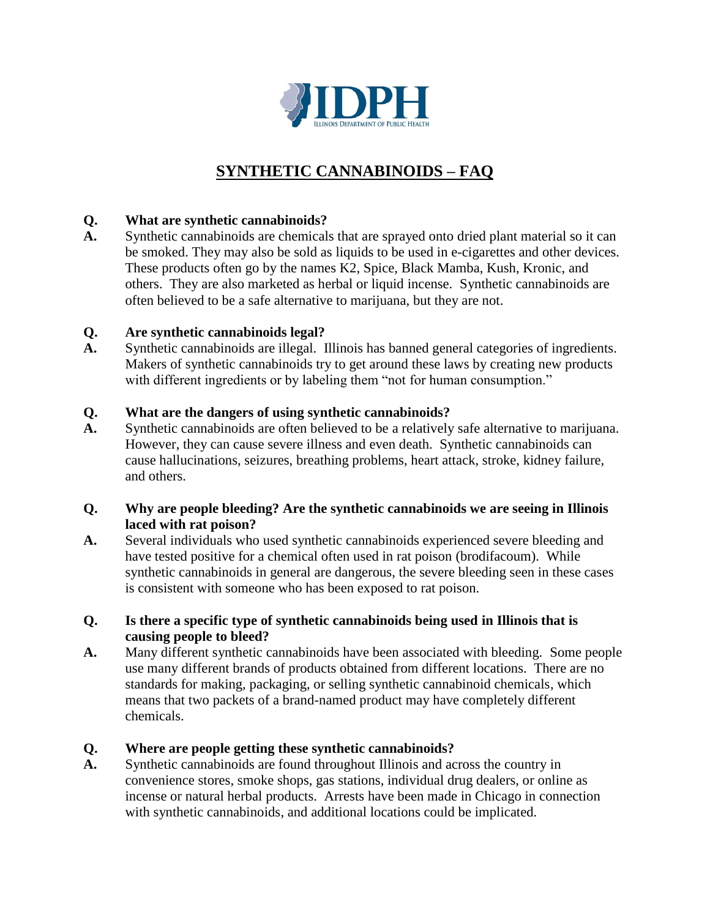

# **SYNTHETIC CANNABINOIDS – FAQ**

# **Q. What are synthetic cannabinoids?**

**A.** Synthetic cannabinoids are chemicals that are sprayed onto dried plant material so it can be smoked. They may also be sold as liquids to be used in e-cigarettes and other devices. These products often go by the names K2, Spice, Black Mamba, Kush, Kronic, and others. They are also marketed as herbal or liquid incense. Synthetic cannabinoids are often believed to be a safe alternative to marijuana, but they are not.

## **Q. Are synthetic cannabinoids legal?**

**A.** Synthetic cannabinoids are illegal. Illinois has banned general categories of ingredients. Makers of synthetic cannabinoids try to get around these laws by creating new products with different ingredients or by labeling them "not for human consumption."

## **Q. What are the dangers of using synthetic cannabinoids?**

**A.** Synthetic cannabinoids are often believed to be a relatively safe alternative to marijuana. However, they can cause severe illness and even death. Synthetic cannabinoids can cause hallucinations, seizures, breathing problems, heart attack, stroke, kidney failure, and others.

## **Q. Why are people bleeding? Are the synthetic cannabinoids we are seeing in Illinois laced with rat poison?**

**A.** Several individuals who used synthetic cannabinoids experienced severe bleeding and have tested positive for a chemical often used in rat poison (brodifacoum). While synthetic cannabinoids in general are dangerous, the severe bleeding seen in these cases is consistent with someone who has been exposed to rat poison.

#### **Q. Is there a specific type of synthetic cannabinoids being used in Illinois that is causing people to bleed?**

**A.** Many different synthetic cannabinoids have been associated with bleeding. Some people use many different brands of products obtained from different locations. There are no standards for making, packaging, or selling synthetic cannabinoid chemicals, which means that two packets of a brand-named product may have completely different chemicals.

## **Q. Where are people getting these synthetic cannabinoids?**

**A.** Synthetic cannabinoids are found throughout Illinois and across the country in convenience stores, smoke shops, gas stations, individual drug dealers, or online as incense or natural herbal products. Arrests have been made in Chicago in connection with synthetic cannabinoids, and additional locations could be implicated.